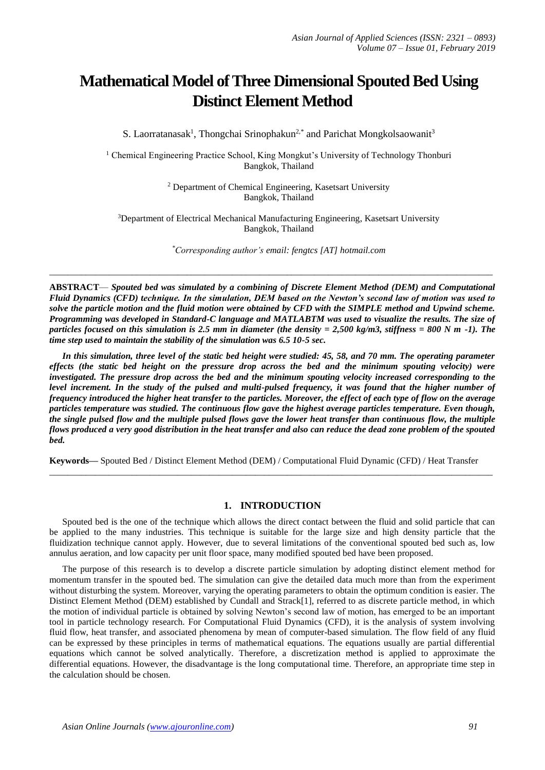# **Mathematical Model of Three Dimensional Spouted Bed Using Distinct Element Method**

S. Laorratanasak<sup>1</sup>, Thongchai Srinophakun<sup>2,\*</sup> and Parichat Mongkolsaowanit<sup>3</sup>

<sup>1</sup> Chemical Engineering Practice School, King Mongkut's University of Technology Thonburi Bangkok, Thailand

> <sup>2</sup> Department of Chemical Engineering, Kasetsart University Bangkok, Thailand

<sup>3</sup>Department of Electrical Mechanical Manufacturing Engineering, Kasetsart University Bangkok, Thailand

*\*Corresponding author's email: fengtcs [AT] hotmail.com*

**ABSTRACT**— *Spouted bed was simulated by a combining of Discrete Element Method (DEM) and Computational Fluid Dynamics (CFD) technique. In the simulation, DEM based on the Newton's second law of motion was used to*  solve the particle motion and the fluid motion were obtained by CFD with the SIMPLE method and Upwind scheme. *Programming was developed in Standard-C language and MATLABTM was used to visualize the results. The size of particles focused on this simulation is 2.5 mm in diameter (the density = 2,500 kg/m3, stiffness = 800 N m -1). The time step used to maintain the stability of the simulation was 6.5 10-5 sec.* 

\_\_\_\_\_\_\_\_\_\_\_\_\_\_\_\_\_\_\_\_\_\_\_\_\_\_\_\_\_\_\_\_\_\_\_\_\_\_\_\_\_\_\_\_\_\_\_\_\_\_\_\_\_\_\_\_\_\_\_\_\_\_\_\_\_\_\_\_\_\_\_\_\_\_\_\_\_\_\_\_\_\_\_\_\_\_\_\_\_\_\_\_\_\_\_\_\_

*In this simulation, three level of the static bed height were studied: 45, 58, and 70 mm. The operating parameter effects (the static bed height on the pressure drop across the bed and the minimum spouting velocity) were investigated. The pressure drop across the bed and the minimum spouting velocity increased corresponding to the level increment. In the study of the pulsed and multi-pulsed frequency, it was found that the higher number of frequency introduced the higher heat transfer to the particles. Moreover, the effect of each type of flow on the average particles temperature was studied. The continuous flow gave the highest average particles temperature. Even though, the single pulsed flow and the multiple pulsed flows gave the lower heat transfer than continuous flow, the multiple flows produced a very good distribution in the heat transfer and also can reduce the dead zone problem of the spouted bed.*

**Keywords—** Spouted Bed / Distinct Element Method (DEM) / Computational Fluid Dynamic (CFD) / Heat Transfer

#### **1. INTRODUCTION**

 $\_$  ,  $\_$  ,  $\_$  ,  $\_$  ,  $\_$  ,  $\_$  ,  $\_$  ,  $\_$  ,  $\_$  ,  $\_$  ,  $\_$  ,  $\_$  ,  $\_$  ,  $\_$  ,  $\_$  ,  $\_$  ,  $\_$  ,  $\_$  ,  $\_$  ,  $\_$  ,  $\_$  ,  $\_$  ,  $\_$  ,  $\_$  ,  $\_$  ,  $\_$  ,  $\_$  ,  $\_$  ,  $\_$  ,  $\_$  ,  $\_$  ,  $\_$  ,  $\_$  ,  $\_$  ,  $\_$  ,  $\_$  ,  $\_$  ,

Spouted bed is the one of the technique which allows the direct contact between the fluid and solid particle that can be applied to the many industries. This technique is suitable for the large size and high density particle that the fluidization technique cannot apply. However, due to several limitations of the conventional spouted bed such as, low annulus aeration, and low capacity per unit floor space, many modified spouted bed have been proposed.

The purpose of this research is to develop a discrete particle simulation by adopting distinct element method for momentum transfer in the spouted bed. The simulation can give the detailed data much more than from the experiment without disturbing the system. Moreover, varying the operating parameters to obtain the optimum condition is easier. The Distinct Element Method (DEM) established by Cundall and Strack[1], referred to as discrete particle method, in which the motion of individual particle is obtained by solving Newton's second law of motion, has emerged to be an important tool in particle technology research. For Computational Fluid Dynamics (CFD), it is the analysis of system involving fluid flow, heat transfer, and associated phenomena by mean of computer-based simulation. The flow field of any fluid can be expressed by these principles in terms of mathematical equations. The equations usually are partial differential equations which cannot be solved analytically. Therefore, a discretization method is applied to approximate the differential equations. However, the disadvantage is the long computational time. Therefore, an appropriate time step in the calculation should be chosen.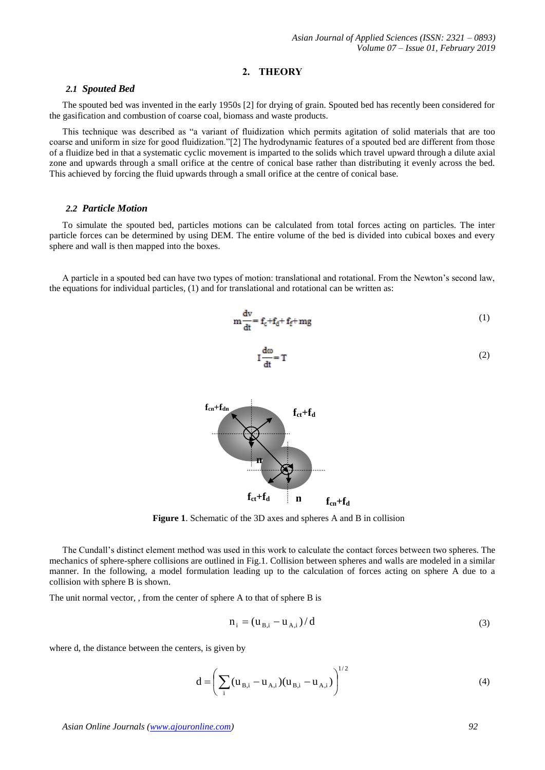#### **2. THEORY**

#### *2.1 Spouted Bed*

The spouted bed was invented in the early 1950s [2] for drying of grain. Spouted bed has recently been considered for the gasification and combustion of coarse coal, biomass and waste products.

This technique was described as "a variant of fluidization which permits agitation of solid materials that are too coarse and uniform in size for good fluidization."[2] The hydrodynamic features of a spouted bed are different from those of a fluidize bed in that a systematic cyclic movement is imparted to the solids which travel upward through a dilute axial zone and upwards through a small orifice at the centre of conical base rather than distributing it evenly across the bed. This achieved by forcing the fluid upwards through a small orifice at the centre of conical base.

#### *2.2 Particle Motion*

To simulate the spouted bed, particles motions can be calculated from total forces acting on particles. The inter particle forces can be determined by using DEM. The entire volume of the bed is divided into cubical boxes and every sphere and wall is then mapped into the boxes.

A particle in a spouted bed can have two types of motion: translational and rotational. From the Newton's second law, the equations for individual particles, (1) and for translational and rotational can be written as:

$$
\mathbf{m}\frac{\mathrm{d}\mathbf{v}}{\mathrm{d}\mathbf{t}} = \mathbf{f}_{\mathrm{c}} + \mathbf{f}_{\mathrm{d}} + \mathbf{f}_{\mathrm{f}} + \mathbf{m}\mathbf{g} \tag{1}
$$

$$
I\frac{d\omega}{dt} = T
$$
 (2)



**Figure 1**. Schematic of the 3D axes and spheres A and B in collision

The Cundall's distinct element method was used in this work to calculate the contact forces between two spheres. The mechanics of sphere-sphere collisions are outlined in Fig.1. Collision between spheres and walls are modeled in a similar manner. In the following, a model formulation leading up to the calculation of forces acting on sphere A due to a collision with sphere B is shown.

The unit normal vector, , from the center of sphere A to that of sphere B is

$$
n_{i} = (u_{B,i} - u_{A,i})/d
$$
 (3)

where d, the distance between the centers, is given by

$$
d = \left(\sum_{i} (u_{B,i} - u_{A,i})(u_{B,i} - u_{A,i})\right)^{1/2}
$$
 (4)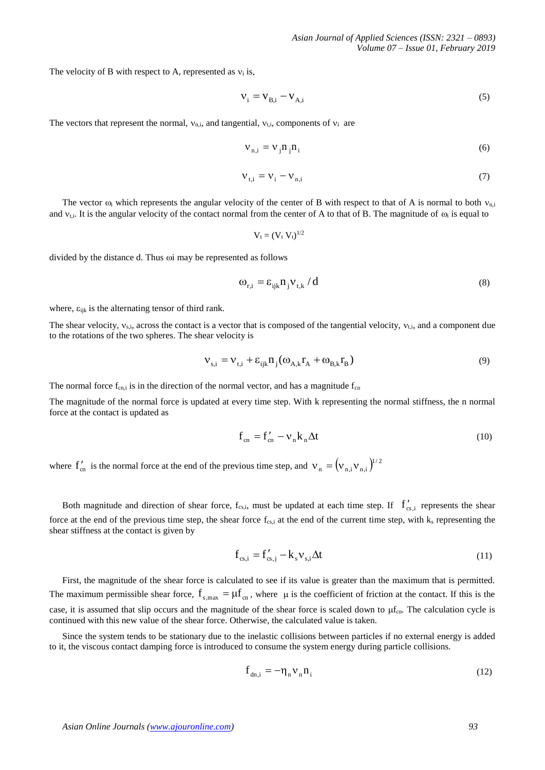The velocity of B with respect to A, represented as  $v_i$  is,

$$
V_i = V_{B,i} - V_{A,i} \tag{5}
$$

The vectors that represent the normal,  $v_{n,i}$ , and tangential,  $v_{t,i}$ , components of  $v_i$  are

$$
V_{n,i} = V_j n_j n_i \tag{6}
$$

$$
V_{t,i} = V_i - V_{n,i} \tag{7}
$$

The vector  $\omega_i$  which represents the angular velocity of the center of B with respect to that of A is normal to both  $v_{n,i}$ and  $v_{t,i}$ . It is the angular velocity of the contact normal from the center of A to that of B. The magnitude of  $\omega_i$  is equal to

$$
\mathrm{V_{t}=(V_{t} V_{t})^{1/2}}
$$

divided by the distance d. Thus  $\omega$  may be represented as follows

$$
\omega_{\rm r,i} = \varepsilon_{\rm ijk} n_{\rm j} v_{\rm t,k} / d \tag{8}
$$

where,  $\varepsilon_{ijk}$  is the alternating tensor of third rank.

The shear velocity,  $v_{si}$ , across the contact is a vector that is composed of the tangential velocity,  $v_{t,i}$ , and a component due to the rotations of the two spheres. The shear velocity is

$$
V_{s,i} = V_{t,i} + \varepsilon_{ijk} n_j (\omega_{A,k} r_A + \omega_{B,k} r_B)
$$
\n(9)

The normal force  $f_{cn,i}$  is in the direction of the normal vector, and has a magnitude  $f_{cn}$ 

The magnitude of the normal force is updated at every time step. With k representing the normal stiffness, the n normal force at the contact is updated as

$$
\mathbf{f}_{cn} = \mathbf{f}_{cn}' - \mathbf{v}_n \mathbf{k}_n \Delta \mathbf{t}
$$
 (10)

where  $f'_{cn}$  is the normal force at the end of the previous time step, and  $v_n = (v_{n,i}v_{n,i})^{1/2}$ 

Both magnitude and direction of shear force,  $f_{cs,i}$ , must be updated at each time step. If  $f'_{cs,i}$  represents the shear force at the end of the previous time step, the shear force  $f_{\text{cs,i}}$  at the end of the current time step, with  $k_s$  representing the shear stiffness at the contact is given by

$$
\mathbf{f}_{\text{cs},i} = \mathbf{f}_{\text{cs},j}^{\prime} - \mathbf{k}_{\text{s}} \mathbf{v}_{\text{s},i} \Delta t \tag{11}
$$

First, the magnitude of the shear force is calculated to see if its value is greater than the maximum that is permitted. The maximum permissible shear force,  $f_{s, max} = \mu f_{cn}$ , where  $\mu$  is the coefficient of friction at the contact. If this is the case, it is assumed that slip occurs and the magnitude of the shear force is scaled down to  $\mu_{\text{cn}}$ . The calculation cycle is continued with this new value of the shear force. Otherwise, the calculated value is taken.

Since the system tends to be stationary due to the inelastic collisions between particles if no external energy is added to it, the viscous contact damping force is introduced to consume the system energy during particle collisions.

$$
\mathbf{f}_{\mathrm{dn,i}} = -\mathbf{\eta}_{\mathrm{n}} \mathbf{v}_{\mathrm{n}} \mathbf{n}_{\mathrm{i}} \tag{12}
$$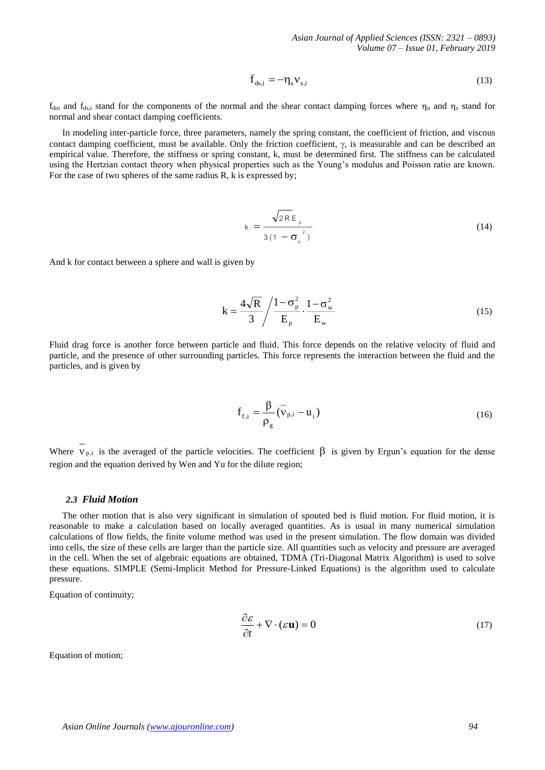$$
\mathbf{f}_{\mathrm{ds},i} = -\mathbf{\eta}_{\mathrm{s}} \mathbf{v}_{\mathrm{s},i} \tag{13}
$$

 $f_{\text{dni}}$  and  $f_{\text{ds,i}}$  stand for the components of the normal and the shear contact damping forces where  $\eta_{\text{n}}$  and  $\eta_{\text{s}}$  stand for normal and shear contact damping coefficients.

In modeling inter-particle force, three parameters, namely the spring constant, the coefficient of friction, and viscous contact damping coefficient, must be available. Only the friction coefficient,  $\gamma$ , is measurable and can be described an empirical value. Therefore, the stiffness or spring constant, k, must be determined first. The stiffness can be calculated using the Hertzian contact theory when physical properties such as the Young's modulus and Poisson ratio are known. For the case of two spheres of the same radius R, k is expressed by;

$$
k = \frac{\sqrt{2R} E_{p}}{3(1 - \sigma_{p}^{2})}
$$
 (14)

And k for contact between a sphere and wall is given by

$$
k = \frac{4\sqrt{R}}{3} / \frac{1 - \sigma_p^2}{E_p} \cdot \frac{1 - \sigma_w^2}{E_w}
$$
 (15)

Fluid drag force is another force between particle and fluid. This force depends on the relative velocity of fluid and particle, and the presence of other surrounding particles. This force represents the interaction between the fluid and the particles, and is given by

$$
\mathbf{f}_{\mathbf{f},i} = \frac{\beta}{\rho_{g}} (\mathbf{v}_{\mathbf{p},i} - \mathbf{u}_{i})
$$
 (16)

Where  $V_{p,i}$  is the averaged of the particle velocities. The coefficient  $\beta$  is given by Ergun's equation for the dense region and the equation derived by Wen and Yu for the dilute region;

#### *2.3 Fluid Motion*

The other motion that is also very significant in simulation of spouted bed is fluid motion. For fluid motion, it is reasonable to make a calculation based on locally averaged quantities. As is usual in many numerical simulation calculations of flow fields, the finite volume method was used in the present simulation. The flow domain was divided into cells, the size of these cells are larger than the particle size. All quantities such as velocity and pressure are averaged in the cell. When the set of algebraic equations are obtained, TDMA (Tri-Diagonal Matrix Algorithm) is used to solve these equations. SIMPLE (Semi-Implicit Method for Pressure-Linked Equations) is the algorithm used to calculate pressure.

Equation of continuity;

$$
\frac{\partial \mathcal{E}}{\partial t} + \nabla \cdot (\mathcal{E} \mathbf{u}) = 0 \tag{17}
$$

Equation of motion;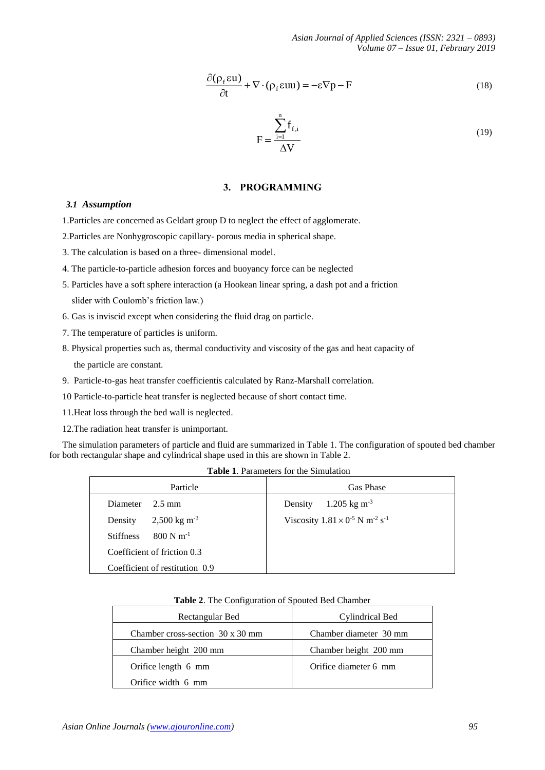$$
\frac{\partial(\rho_f \epsilon \mathbf{u})}{\partial t} + \nabla \cdot (\rho_f \epsilon \mathbf{u} \mathbf{u}) = -\epsilon \nabla p - \mathbf{F}
$$
\n(18)

$$
F = \frac{\sum_{i=1}^{n} f_{f,i}}{\Delta V}
$$
 (19)

# **3. PROGRAMMING**

#### *3.1 Assumption*

1.Particles are concerned as Geldart group D to neglect the effect of agglomerate.

- 2.Particles are Nonhygroscopic capillary- porous media in spherical shape.
- 3. The calculation is based on a three- dimensional model.
- 4. The particle-to-particle adhesion forces and buoyancy force can be neglected
- 5. Particles have a soft sphere interaction (a Hookean linear spring, a dash pot and a friction slider with Coulomb's friction law.)
- 6. Gas is inviscid except when considering the fluid drag on particle.
- 7. The temperature of particles is uniform.
- 8. Physical properties such as, thermal conductivity and viscosity of the gas and heat capacity of the particle are constant.
- 9. Particle-to-gas heat transfer coefficientis calculated by Ranz-Marshall correlation.
- 10 Particle-to-particle heat transfer is neglected because of short contact time.
- 11.Heat loss through the bed wall is neglected.
- 12.The radiation heat transfer is unimportant.

The simulation parameters of particle and fluid are summarized in Table 1. The configuration of spouted bed chamber for both rectangular shape and cylindrical shape used in this are shown in Table 2.

| Particle                                    | Gas Phase                                                        |  |  |
|---------------------------------------------|------------------------------------------------------------------|--|--|
| <b>Diameter</b><br>$2.5 \text{ mm}$         | $1.205 \text{ kg m}^{-3}$<br>Density                             |  |  |
| $2,500 \text{ kg m}^3$<br>Density           | Viscosity $1.81 \times 0^{-5}$ N m <sup>-2</sup> s <sup>-1</sup> |  |  |
| $800$ N m <sup>-1</sup><br><b>Stiffness</b> |                                                                  |  |  |
| Coefficient of friction 0.3                 |                                                                  |  |  |
| Coefficient of restitution 0.9              |                                                                  |  |  |

| Rectangular Bed                         | Cylindrical Bed        |  |  |
|-----------------------------------------|------------------------|--|--|
| Chamber cross-section $30 \times 30$ mm | Chamber diameter 30 mm |  |  |
| Chamber height 200 mm                   | Chamber height 200 mm  |  |  |
| Orifice length 6 mm                     | Orifice diameter 6 mm  |  |  |
| Orifice width 6 mm                      |                        |  |  |

# **Table 2**. The Configuration of Spouted Bed Chamber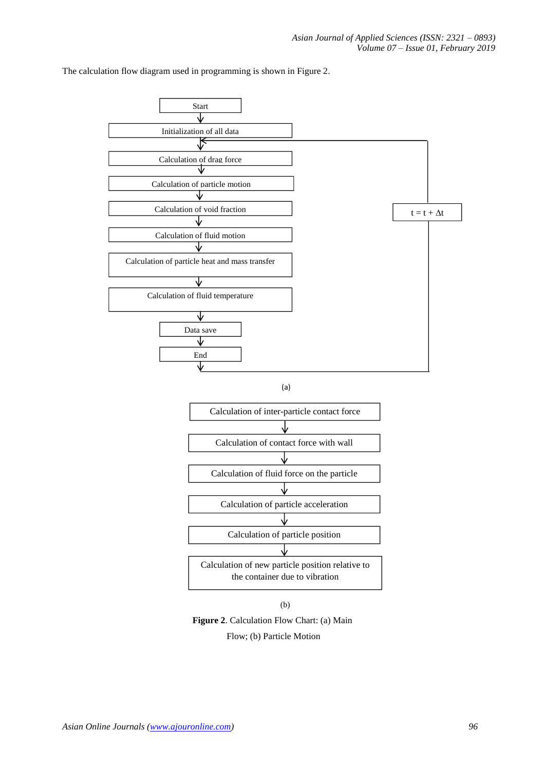





Flow; (b) Particle Motion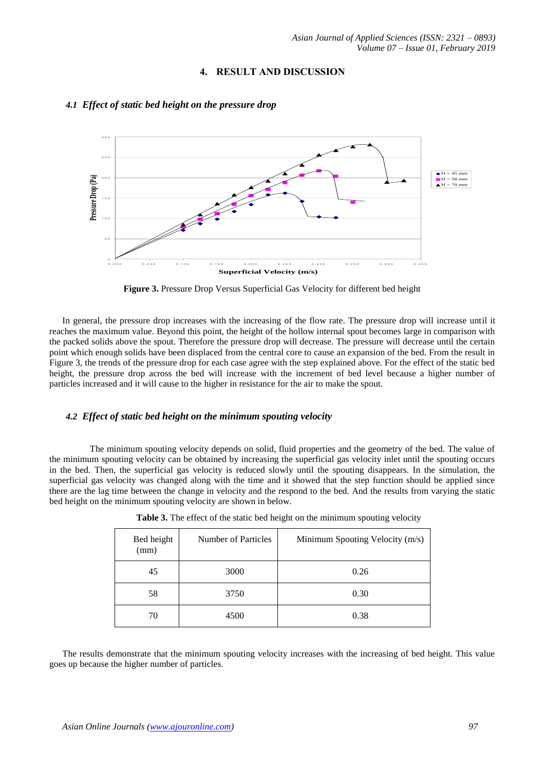## **4. RESULT AND DISCUSSION**



# *4.1 Effect of static bed height on the pressure drop*

**Figure 3.** Pressure Drop Versus Superficial Gas Velocity for different bed height

In general, the pressure drop increases with the increasing of the flow rate. The pressure drop will increase until it reaches the maximum value. Beyond this point, the height of the hollow internal spout becomes large in comparison with the packed solids above the spout. Therefore the pressure drop will decrease. The pressure will decrease until the certain point which enough solids have been displaced from the central core to cause an expansion of the bed. From the result in Figure 3, the trends of the pressure drop for each case agree with the step explained above. For the effect of the static bed height, the pressure drop across the bed will increase with the increment of bed level because a higher number of particles increased and it will cause to the higher in resistance for the air to make the spout.

# *4.2 Effect of static bed height on the minimum spouting velocity*

 The minimum spouting velocity depends on solid, fluid properties and the geometry of the bed. The value of the minimum spouting velocity can be obtained by increasing the superficial gas velocity inlet until the spouting occurs in the bed. Then, the superficial gas velocity is reduced slowly until the spouting disappears. In the simulation, the superficial gas velocity was changed along with the time and it showed that the step function should be applied since there are the lag time between the change in velocity and the respond to the bed. And the results from varying the static bed height on the minimum spouting velocity are shown in below.

| Bed height<br>(mm) | Number of Particles | Minimum Spouting Velocity (m/s) |  |  |
|--------------------|---------------------|---------------------------------|--|--|
| 45                 | 3000                | 0.26                            |  |  |
| 58                 | 3750                | 0.30                            |  |  |
| 70                 | 4500                | 0.38                            |  |  |

|  |  | Table 3. The effect of the static bed height on the minimum spouting velocity |  |
|--|--|-------------------------------------------------------------------------------|--|
|  |  |                                                                               |  |

The results demonstrate that the minimum spouting velocity increases with the increasing of bed height. This value goes up because the higher number of particles.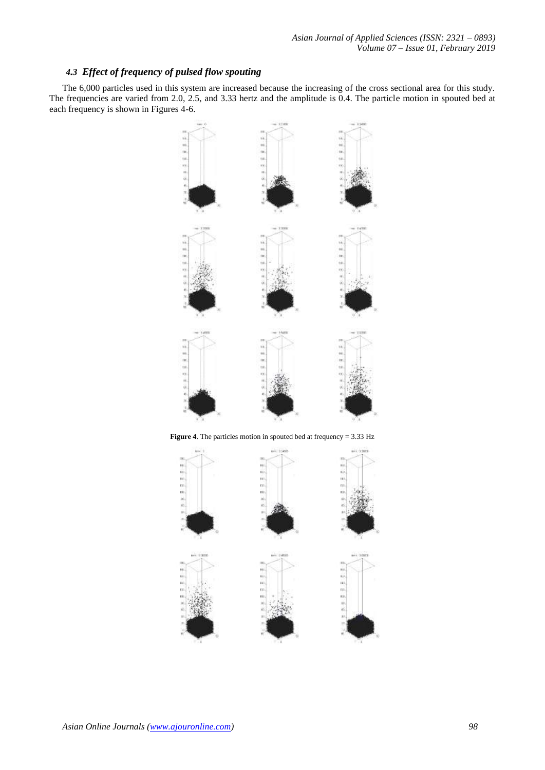# *4.3 Effect of frequency of pulsed flow spouting*

The 6,000 particles used in this system are increased because the increasing of the cross sectional area for this study. The frequencies are varied from 2.0, 2.5, and 3.33 hertz and the amplitude is 0.4. The particle motion in spouted bed at each frequency is shown in Figures 4-6.



**Figure 4**. The particles motion in spouted bed at frequency = 3.33 Hz

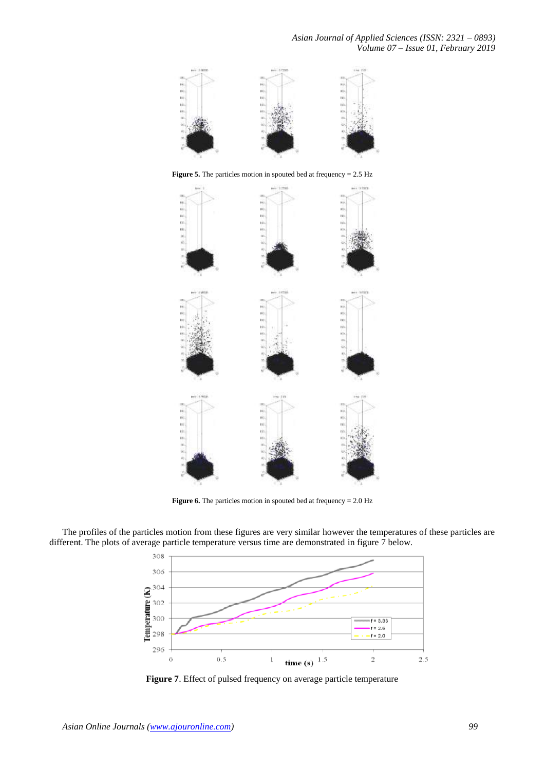

**Figure 5.** The particles motion in spouted bed at frequency = 2.5 Hz



**Figure 6.** The particles motion in spouted bed at frequency = 2.0 Hz

The profiles of the particles motion from these figures are very similar however the temperatures of these particles are different. The plots of average particle temperature versus time are demonstrated in figure 7 below.



**Figure 7**. Effect of pulsed frequency on average particle temperature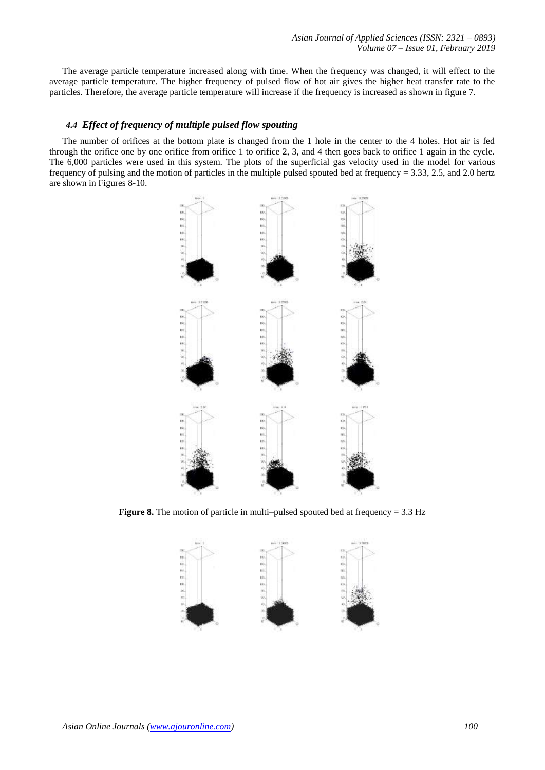The average particle temperature increased along with time. When the frequency was changed, it will effect to the average particle temperature. The higher frequency of pulsed flow of hot air gives the higher heat transfer rate to the particles. Therefore, the average particle temperature will increase if the frequency is increased as shown in figure 7.

# *4.4 Effect of frequency of multiple pulsed flow spouting*

The number of orifices at the bottom plate is changed from the 1 hole in the center to the 4 holes. Hot air is fed through the orifice one by one orifice from orifice 1 to orifice 2, 3, and 4 then goes back to orifice 1 again in the cycle. The 6,000 particles were used in this system. The plots of the superficial gas velocity used in the model for various frequency of pulsing and the motion of particles in the multiple pulsed spouted bed at frequency = 3.33, 2.5, and 2.0 hertz are shown in Figures 8-10.



**Figure 8.** The motion of particle in multi–pulsed spouted bed at frequency = 3.3 Hz

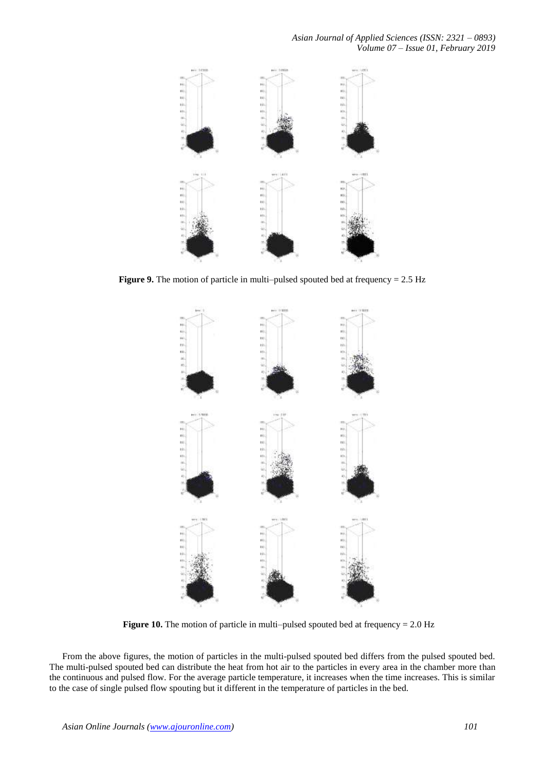

**Figure 9.** The motion of particle in multi–pulsed spouted bed at frequency = 2.5 Hz



**Figure 10.** The motion of particle in multi–pulsed spouted bed at frequency = 2.0 Hz

From the above figures, the motion of particles in the multi-pulsed spouted bed differs from the pulsed spouted bed. The multi-pulsed spouted bed can distribute the heat from hot air to the particles in every area in the chamber more than the continuous and pulsed flow. For the average particle temperature, it increases when the time increases. This is similar to the case of single pulsed flow spouting but it different in the temperature of particles in the bed.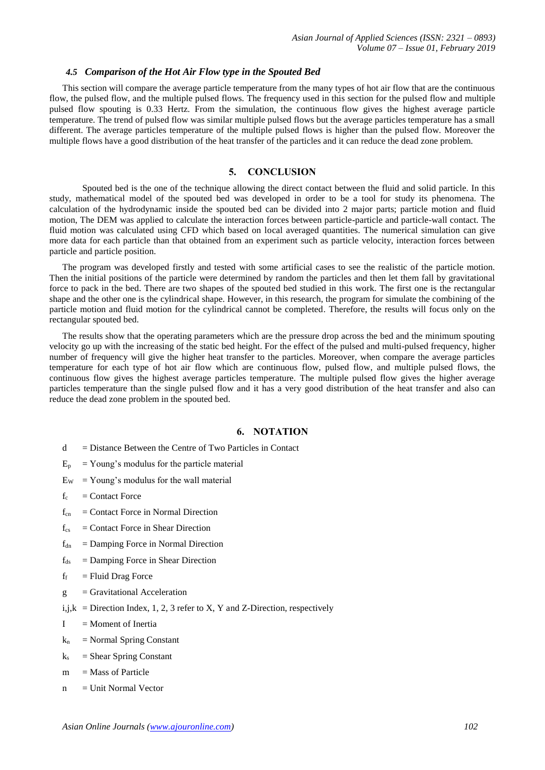#### *4.5 Comparison of the Hot Air Flow type in the Spouted Bed*

This section will compare the average particle temperature from the many types of hot air flow that are the continuous flow, the pulsed flow, and the multiple pulsed flows. The frequency used in this section for the pulsed flow and multiple pulsed flow spouting is 0.33 Hertz. From the simulation, the continuous flow gives the highest average particle temperature. The trend of pulsed flow was similar multiple pulsed flows but the average particles temperature has a small different. The average particles temperature of the multiple pulsed flows is higher than the pulsed flow. Moreover the multiple flows have a good distribution of the heat transfer of the particles and it can reduce the dead zone problem.

#### **5. CONCLUSION**

Spouted bed is the one of the technique allowing the direct contact between the fluid and solid particle. In this study, mathematical model of the spouted bed was developed in order to be a tool for study its phenomena. The calculation of the hydrodynamic inside the spouted bed can be divided into 2 major parts; particle motion and fluid motion, The DEM was applied to calculate the interaction forces between particle-particle and particle-wall contact. The fluid motion was calculated using CFD which based on local averaged quantities. The numerical simulation can give more data for each particle than that obtained from an experiment such as particle velocity, interaction forces between particle and particle position.

The program was developed firstly and tested with some artificial cases to see the realistic of the particle motion. Then the initial positions of the particle were determined by random the particles and then let them fall by gravitational force to pack in the bed. There are two shapes of the spouted bed studied in this work. The first one is the rectangular shape and the other one is the cylindrical shape. However, in this research, the program for simulate the combining of the particle motion and fluid motion for the cylindrical cannot be completed. Therefore, the results will focus only on the rectangular spouted bed.

The results show that the operating parameters which are the pressure drop across the bed and the minimum spouting velocity go up with the increasing of the static bed height. For the effect of the pulsed and multi-pulsed frequency, higher number of frequency will give the higher heat transfer to the particles. Moreover, when compare the average particles temperature for each type of hot air flow which are continuous flow, pulsed flow, and multiple pulsed flows, the continuous flow gives the highest average particles temperature. The multiple pulsed flow gives the higher average particles temperature than the single pulsed flow and it has a very good distribution of the heat transfer and also can reduce the dead zone problem in the spouted bed.

## **6. NOTATION**

- $d = Distance$  Between the Centre of Two Particles in Contact
- $E_p$  = Young's modulus for the particle material
- $E_W$  = Young's modulus for the wall material
- $f_c$  = Contact Force
- $f_{cn}$  = Contact Force in Normal Direction
- $f_{cs}$  = Contact Force in Shear Direction
- $f_{dn}$  = Damping Force in Normal Direction
- $f_{ds}$  = Damping Force in Shear Direction
- $f_f$  = Fluid Drag Force
- $g =$ Gravitational Acceleration
- i,j, $k =$  Direction Index, 1, 2, 3 refer to X, Y and Z-Direction, respectively
- $I =$ Moment of Inertia
- $k_n$  = Normal Spring Constant
- $k<sub>s</sub>$  = Shear Spring Constant
- $m =$ Mass of Particle
- $n =$  Unit Normal Vector